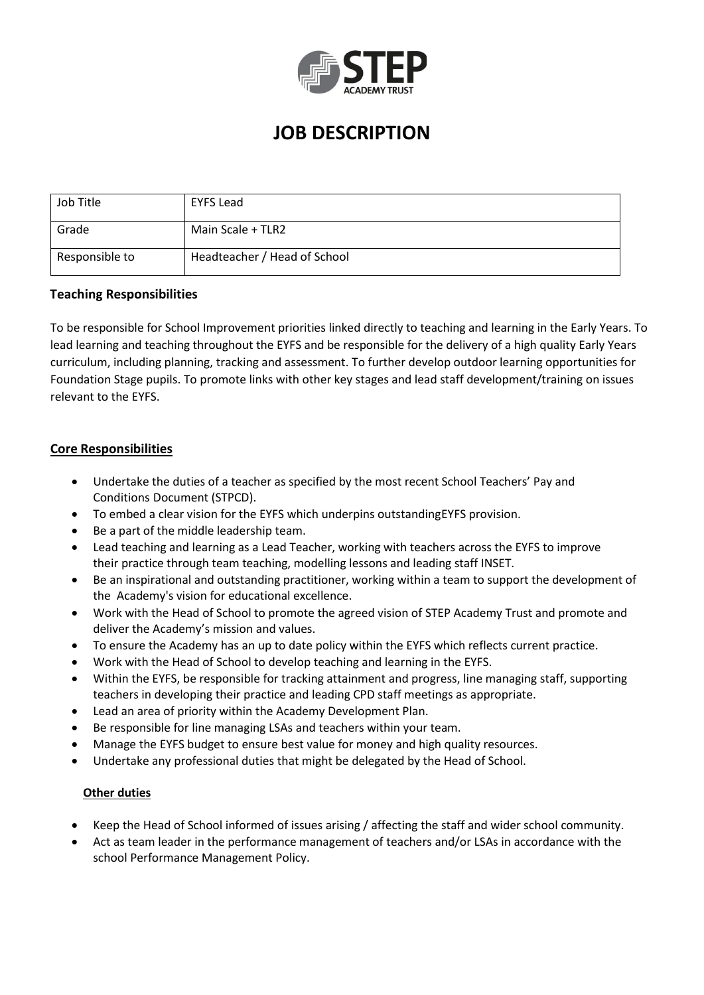

# **JOB DESCRIPTION**

| Job Title      | <b>EYFS Lead</b>             |
|----------------|------------------------------|
| Grade          | Main Scale + TLR2            |
| Responsible to | Headteacher / Head of School |

# **Teaching Responsibilities**

To be responsible for School Improvement priorities linked directly to teaching and learning in the Early Years. To lead learning and teaching throughout the EYFS and be responsible for the delivery of a high quality Early Years curriculum, including planning, tracking and assessment. To further develop outdoor learning opportunities for Foundation Stage pupils. To promote links with other key stages and lead staff development/training on issues relevant to the EYFS.

# **Core Responsibilities**

- Undertake the duties of a teacher as specified by the most recent School Teachers' Pay and Conditions Document (STPCD).
- To embed a clear vision for the EYFS which underpins outstandingEYFS provision.
- Be a part of the middle leadership team.
- Lead teaching and learning as a Lead Teacher, working with teachers across the EYFS to improve their practice through team teaching, modelling lessons and leading staff INSET.
- Be an inspirational and outstanding practitioner, working within a team to support the development of the Academy's vision for educational excellence.
- Work with the Head of School to promote the agreed vision of STEP Academy Trust and promote and deliver the Academy's mission and values.
- To ensure the Academy has an up to date policy within the EYFS which reflects current practice.
- Work with the Head of School to develop teaching and learning in the EYFS.
- Within the EYFS, be responsible for tracking attainment and progress, line managing staff, supporting teachers in developing their practice and leading CPD staff meetings as appropriate.
- Lead an area of priority within the Academy Development Plan.
- Be responsible for line managing LSAs and teachers within your team.
- Manage the EYFS budget to ensure best value for money and high quality resources.
- Undertake any professional duties that might be delegated by the Head of School.

#### **Other duties**

- Keep the Head of School informed of issues arising / affecting the staff and wider school community.
- Act as team leader in the performance management of teachers and/or LSAs in accordance with the school Performance Management Policy.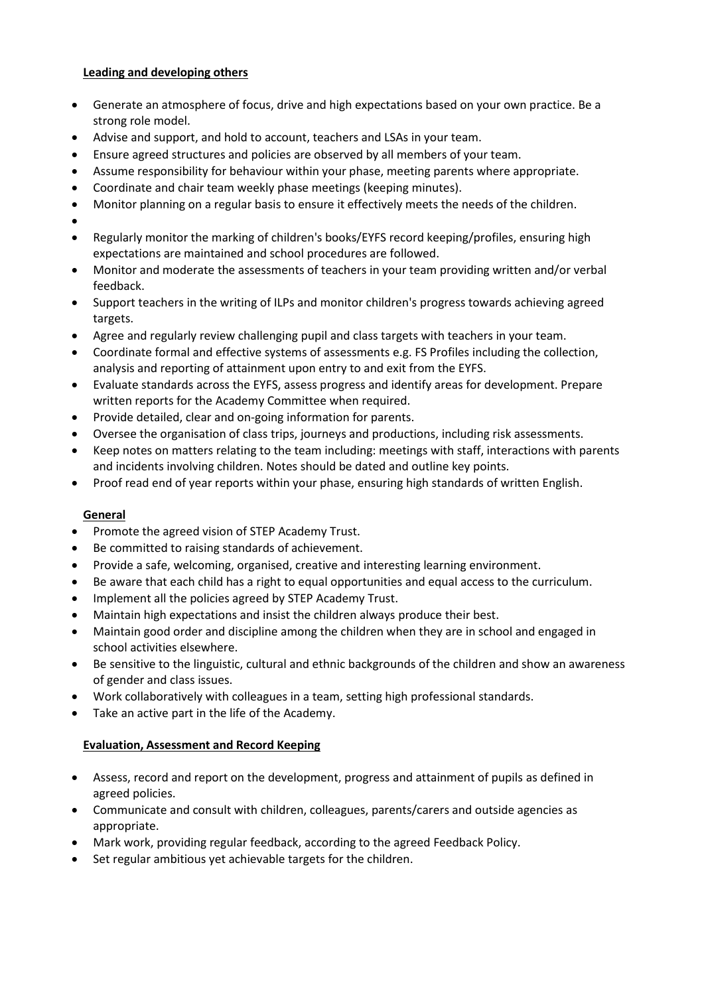# **Leading and developing others**

- Generate an atmosphere of focus, drive and high expectations based on your own practice. Be a strong role model.
- Advise and support, and hold to account, teachers and LSAs in your team.
- Ensure agreed structures and policies are observed by all members of your team.
- Assume responsibility for behaviour within your phase, meeting parents where appropriate.
- Coordinate and chair team weekly phase meetings (keeping minutes).
- Monitor planning on a regular basis to ensure it effectively meets the needs of the children.
- $\bullet$
- Regularly monitor the marking of children's books/EYFS record keeping/profiles, ensuring high expectations are maintained and school procedures are followed.
- Monitor and moderate the assessments of teachers in your team providing written and/or verbal feedback.
- Support teachers in the writing of ILPs and monitor children's progress towards achieving agreed targets.
- Agree and regularly review challenging pupil and class targets with teachers in your team.
- Coordinate formal and effective systems of assessments e.g. FS Profiles including the collection, analysis and reporting of attainment upon entry to and exit from the EYFS.
- Evaluate standards across the EYFS, assess progress and identify areas for development. Prepare written reports for the Academy Committee when required.
- Provide detailed, clear and on-going information for parents.
- Oversee the organisation of class trips, journeys and productions, including risk assessments.
- Keep notes on matters relating to the team including: meetings with staff, interactions with parents and incidents involving children. Notes should be dated and outline key points.
- Proof read end of year reports within your phase, ensuring high standards of written English.

# **General**

- Promote the agreed vision of STEP Academy Trust.
- Be committed to raising standards of achievement.
- Provide a safe, welcoming, organised, creative and interesting learning environment.
- Be aware that each child has a right to equal opportunities and equal access to the curriculum.
- Implement all the policies agreed by STEP Academy Trust.
- Maintain high expectations and insist the children always produce their best.
- Maintain good order and discipline among the children when they are in school and engaged in school activities elsewhere.
- Be sensitive to the linguistic, cultural and ethnic backgrounds of the children and show an awareness of gender and class issues.
- Work collaboratively with colleagues in a team, setting high professional standards.
- Take an active part in the life of the Academy.

# **Evaluation, Assessment and Record Keeping**

- Assess, record and report on the development, progress and attainment of pupils as defined in agreed policies.
- Communicate and consult with children, colleagues, parents/carers and outside agencies as appropriate.
- Mark work, providing regular feedback, according to the agreed Feedback Policy.
- Set regular ambitious yet achievable targets for the children.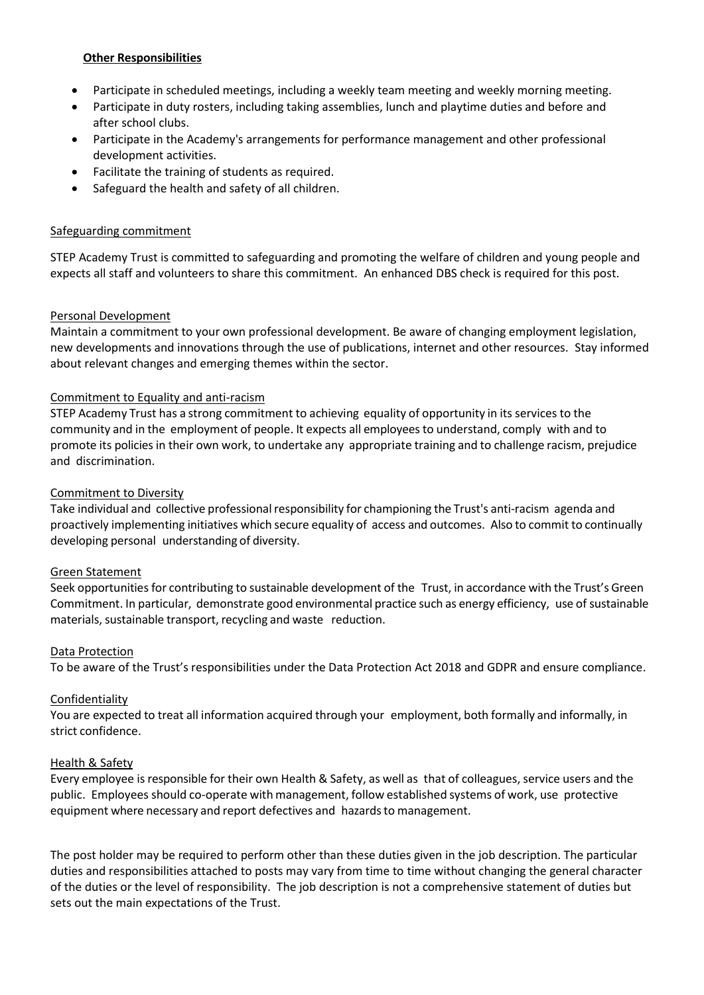#### **Other Responsibilities**

- Participate in scheduled meetings, including a weekly team meeting and weekly morning meeting.
- Participate in duty rosters, including taking assemblies, lunch and playtime duties and before and after school clubs.
- Participate in the Academy's arrangements for performance management and other professional development activities.
- Facilitate the training of students as required.
- Safeguard the health and safety of all children.

# Safeguarding commitment

STEP Academy Trust is committed to safeguarding and promoting the welfare of children and young people and expects all staff and volunteers to share this commitment. An enhanced DBS check is required for this post.

# Personal Development

Maintain a commitment to your own professional development. Be aware of changing employment legislation, new developments and innovations through the use of publications, internet and other resources. Stay informed about relevant changes and emerging themes within the sector.

# Commitment to Equality and anti-racism

STEP Academy Trust has a strong commitment to achieving equality of opportunity in its services to the community and in the employment of people. It expects all employeesto understand, comply with and to promote its policies in their own work, to undertake any appropriate training and to challenge racism, prejudice and discrimination.

# Commitment to Diversity

Take individual and collective professional responsibility for championing the Trust's anti-racism agenda and proactively implementing initiatives which secure equality of access and outcomes. Also to commit to continually developing personal understanding of diversity.

#### Green Statement

Seek opportunities for contributing to sustainable development of the Trust, in accordance with the Trust's Green Commitment. In particular, demonstrate good environmental practice such as energy efficiency, use of sustainable materials, sustainable transport, recycling and waste reduction.

#### Data Protection

To be aware of the Trust's responsibilities under the Data Protection Act 2018 and GDPR and ensure compliance.

#### Confidentiality

You are expected to treat all information acquired through your employment, both formally and informally, in strict confidence.

#### Health & Safety

Every employee is responsible for their own Health & Safety, as well as that of colleagues, service users and the public. Employees should co-operate with management, follow established systems of work, use protective equipment where necessary and report defectives and hazards to management.

The post holder may be required to perform other than these duties given in the job description. The particular duties and responsibilities attached to posts may vary from time to time without changing the general character of the duties or the level of responsibility. The job description is not a comprehensive statement of duties but sets out the main expectations of the Trust.